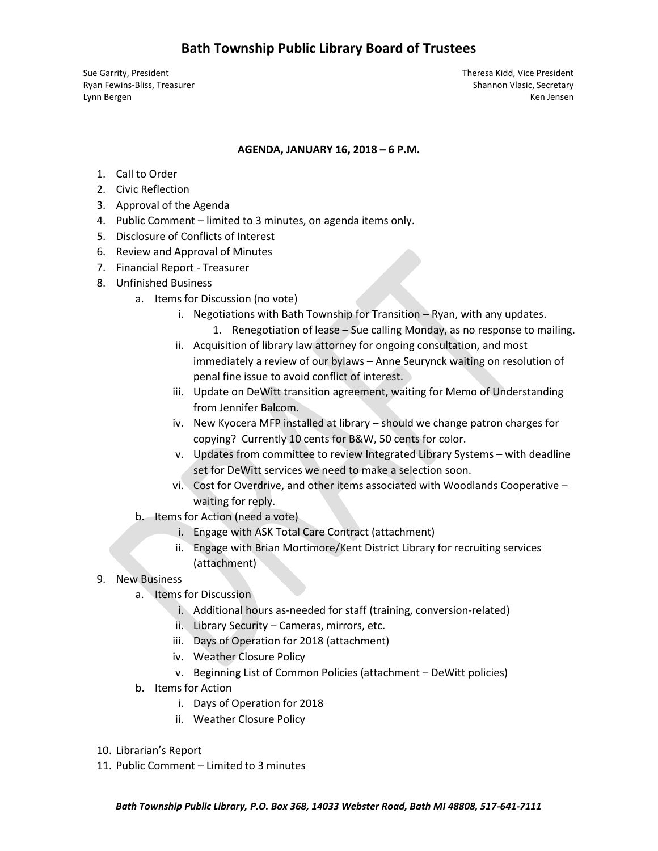Sue Garrity, President Theresa Kidd, Vice President Ryan Fewins-Bliss, Treasurer Shannon Vlasic, Secretary Shannon Vlasic, Secretary Lynn Bergen Ken Jensen Ken Jensen Ken Jensen Ken Jensen Ken Jensen Ken Jensen Ken Jensen Ken Jensen Ken Jensen

## **AGENDA, JANUARY 16, 2018 – 6 P.M.**

- 1. Call to Order
- 2. Civic Reflection
- 3. Approval of the Agenda
- 4. Public Comment limited to 3 minutes, on agenda items only.
- 5. Disclosure of Conflicts of Interest
- 6. Review and Approval of Minutes
- 7. Financial Report Treasurer
- 8. Unfinished Business
	- a. Items for Discussion (no vote)
		- i. Negotiations with Bath Township for Transition Ryan, with any updates.
			- 1. Renegotiation of lease Sue calling Monday, as no response to mailing.
		- ii. Acquisition of library law attorney for ongoing consultation, and most immediately a review of our bylaws – Anne Seurynck waiting on resolution of penal fine issue to avoid conflict of interest.
		- iii. Update on DeWitt transition agreement, waiting for Memo of Understanding from Jennifer Balcom.
		- iv. New Kyocera MFP installed at library should we change patron charges for copying? Currently 10 cents for B&W, 50 cents for color.
		- v. Updates from committee to review Integrated Library Systems with deadline set for DeWitt services we need to make a selection soon.
		- vi. Cost for Overdrive, and other items associated with Woodlands Cooperative waiting for reply.
	- b. Items for Action (need a vote)
		- i. Engage with ASK Total Care Contract (attachment)
		- ii. Engage with Brian Mortimore/Kent District Library for recruiting services (attachment)
- 9. New Business
	- a. Items for Discussion
		- i. Additional hours as-needed for staff (training, conversion-related)
		- ii. Library Security Cameras, mirrors, etc.
		- iii. Days of Operation for 2018 (attachment)
		- iv. Weather Closure Policy
		- v. Beginning List of Common Policies (attachment DeWitt policies)
	- b. Items for Action
		- i. Days of Operation for 2018
		- ii. Weather Closure Policy
- 10. Librarian's Report
- 11. Public Comment Limited to 3 minutes